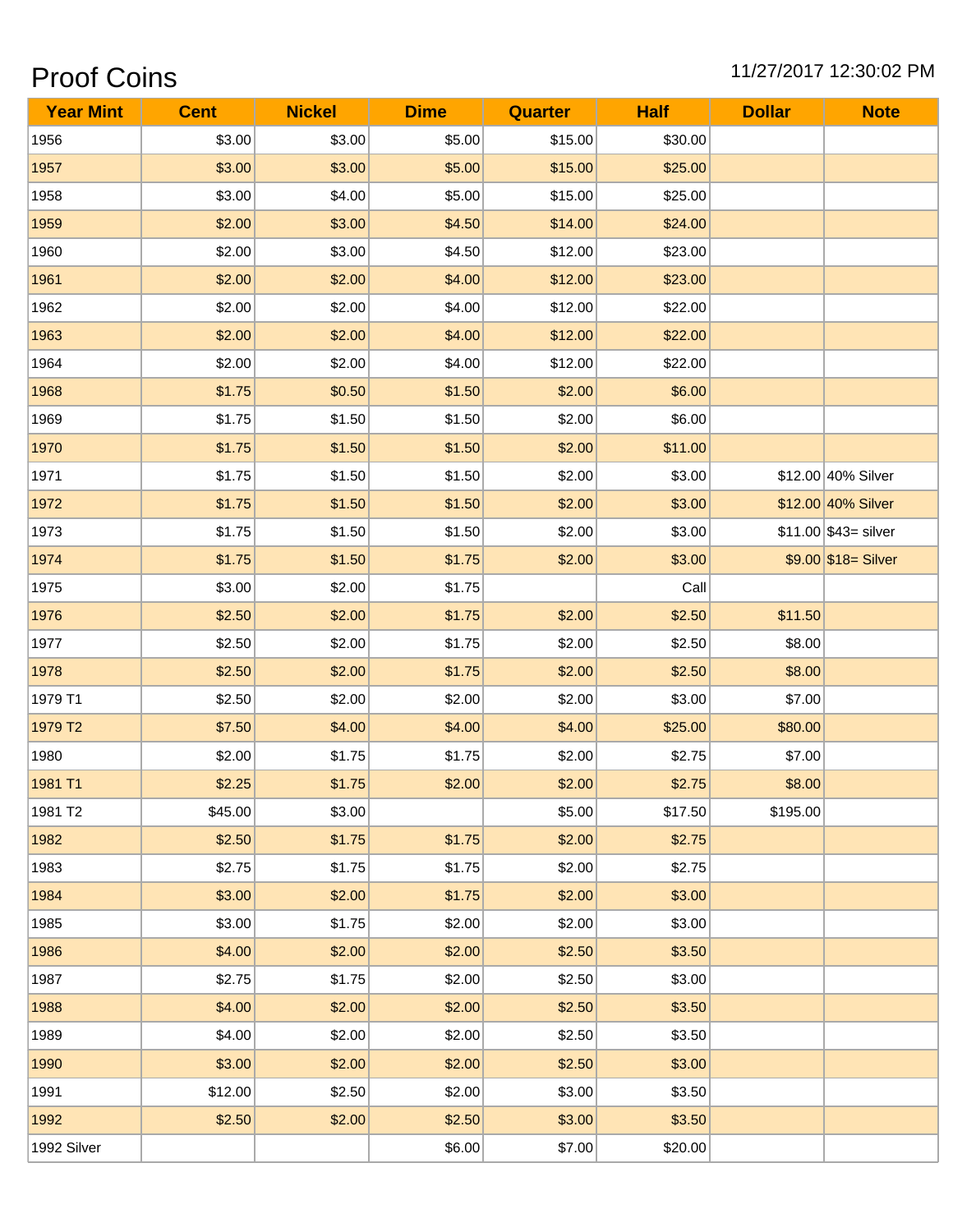## Proof Coins 2008 2010 11/27/2017 12:30:02 PM

| <b>Year Mint</b> | <b>Cent</b> | <b>Nickel</b> | <b>Dime</b> | <b>Quarter</b> | <b>Half</b> | <b>Dollar</b> | <b>Note</b>            |
|------------------|-------------|---------------|-------------|----------------|-------------|---------------|------------------------|
| 1956             | \$3.00      | \$3.00        | \$5.00      | \$15.00        | \$30.00     |               |                        |
| 1957             | \$3.00      | \$3.00        | \$5.00      | \$15.00        | \$25.00     |               |                        |
| 1958             | \$3.00      | \$4.00        | \$5.00      | \$15.00        | \$25.00     |               |                        |
| 1959             | \$2.00      | \$3.00        | \$4.50      | \$14.00        | \$24.00     |               |                        |
| 1960             | \$2.00      | \$3.00        | \$4.50      | \$12.00        | \$23.00     |               |                        |
| 1961             | \$2.00      | \$2.00        | \$4.00      | \$12.00        | \$23.00     |               |                        |
| 1962             | \$2.00      | \$2.00        | \$4.00      | \$12.00        | \$22.00     |               |                        |
| 1963             | \$2.00      | \$2.00        | \$4.00      | \$12.00        | \$22.00     |               |                        |
| 1964             | \$2.00      | \$2.00        | \$4.00      | \$12.00        | \$22.00     |               |                        |
| 1968             | \$1.75      | \$0.50        | \$1.50      | \$2.00         | \$6.00      |               |                        |
| 1969             | \$1.75      | \$1.50        | \$1.50      | \$2.00         | \$6.00      |               |                        |
| 1970             | \$1.75      | \$1.50        | \$1.50      | \$2.00         | \$11.00     |               |                        |
| 1971             | \$1.75      | \$1.50        | \$1.50      | \$2.00         | \$3.00      |               | \$12.00 40% Silver     |
| 1972             | \$1.75      | \$1.50        | \$1.50      | \$2.00         | \$3.00      |               | \$12.00 40% Silver     |
| 1973             | \$1.75      | \$1.50        | \$1.50      | \$2.00         | \$3.00      |               | $$11.00$ \$43= silver  |
| 1974             | \$1.75      | \$1.50        | \$1.75      | \$2.00         | \$3.00      |               | $$9.00$ $$18 =$ Silver |
| 1975             | \$3.00      | \$2.00        | \$1.75      |                | Call        |               |                        |
| 1976             | \$2.50      | \$2.00        | \$1.75      | \$2.00         | \$2.50      | \$11.50       |                        |
| 1977             | \$2.50      | \$2.00        | \$1.75      | \$2.00         | \$2.50      | \$8.00        |                        |
| 1978             | \$2.50      | \$2.00        | \$1.75      | \$2.00         | \$2.50      | \$8.00        |                        |
| 1979 T1          | \$2.50      | \$2.00        | \$2.00      | \$2.00         | \$3.00      | \$7.00        |                        |
| 1979 T2          | \$7.50      | \$4.00        | \$4.00      | \$4.00         | \$25.00     | \$80.00       |                        |
| 1980             | \$2.00      | \$1.75        | \$1.75      | \$2.00         | \$2.75      | \$7.00        |                        |
| 1981 T1          | \$2.25      | \$1.75        | \$2.00      | \$2.00         | \$2.75      | \$8.00        |                        |
| 1981 T2          | \$45.00     | \$3.00        |             | \$5.00         | \$17.50     | \$195.00      |                        |
| 1982             | \$2.50      | \$1.75        | \$1.75      | \$2.00         | \$2.75      |               |                        |
| 1983             | \$2.75      | \$1.75        | \$1.75      | \$2.00         | \$2.75      |               |                        |
| 1984             | \$3.00      | \$2.00        | \$1.75      | \$2.00         | \$3.00      |               |                        |
| 1985             | \$3.00      | \$1.75        | \$2.00      | \$2.00         | \$3.00      |               |                        |
| 1986             | \$4.00      | \$2.00        | \$2.00      | \$2.50         | \$3.50      |               |                        |
| 1987             | \$2.75      | \$1.75        | \$2.00      | \$2.50         | \$3.00      |               |                        |
| 1988             | \$4.00      | \$2.00        | \$2.00      | \$2.50         | \$3.50      |               |                        |
| 1989             | \$4.00      | \$2.00        | \$2.00      | \$2.50         | \$3.50      |               |                        |
| 1990             | \$3.00      | \$2.00        | \$2.00      | \$2.50         | \$3.00      |               |                        |
| 1991             | \$12.00     | \$2.50        | \$2.00      | \$3.00         | \$3.50      |               |                        |
| 1992             | \$2.50      | \$2.00        | \$2.50      | \$3.00         | \$3.50      |               |                        |
| 1992 Silver      |             |               | \$6.00      | \$7.00         | \$20.00     |               |                        |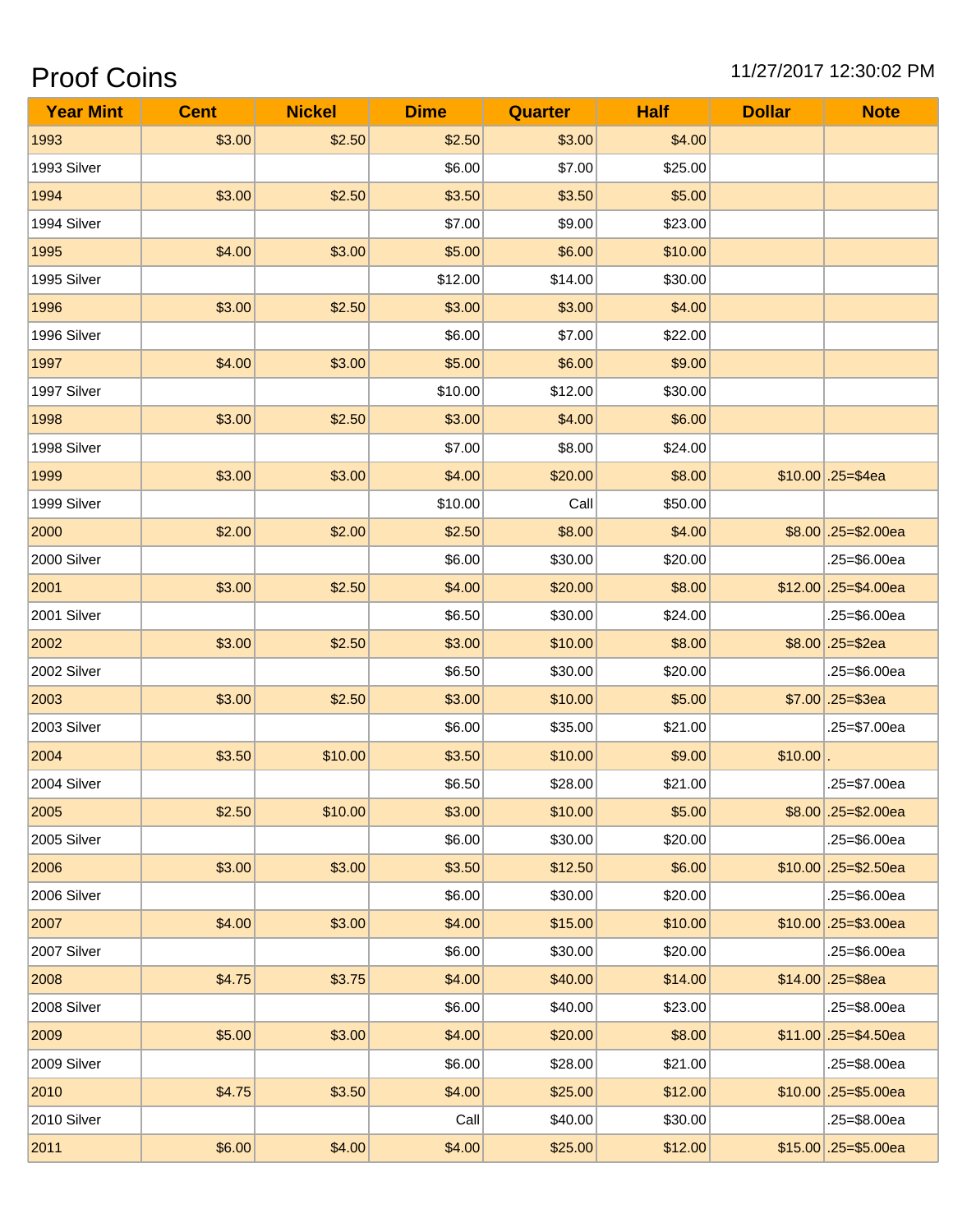## **Proof Coins**

### 11/27/2017 12:30:02 PM

| <b>Year Mint</b> | <b>Cent</b> | <b>Nickel</b> | <b>Dime</b> | <b>Quarter</b> | <b>Half</b> | <b>Dollar</b> | <b>Note</b>           |
|------------------|-------------|---------------|-------------|----------------|-------------|---------------|-----------------------|
| 1993             | \$3.00      | \$2.50        | \$2.50      | \$3.00         | \$4.00      |               |                       |
| 1993 Silver      |             |               | \$6.00      | \$7.00         | \$25.00     |               |                       |
| 1994             | \$3.00      | \$2.50        | \$3.50      | \$3.50         | \$5.00      |               |                       |
| 1994 Silver      |             |               | \$7.00      | \$9.00         | \$23.00     |               |                       |
| 1995             | \$4.00      | \$3.00        | \$5.00      | \$6.00         | \$10.00     |               |                       |
| 1995 Silver      |             |               | \$12.00     | \$14.00        | \$30.00     |               |                       |
| 1996             | \$3.00      | \$2.50        | \$3.00      | \$3.00         | \$4.00      |               |                       |
| 1996 Silver      |             |               | \$6.00      | \$7.00         | \$22.00     |               |                       |
| 1997             | \$4.00      | \$3.00        | \$5.00      | \$6.00         | \$9.00      |               |                       |
| 1997 Silver      |             |               | \$10.00     | \$12.00        | \$30.00     |               |                       |
| 1998             | \$3.00      | \$2.50        | \$3.00      | \$4.00         | \$6.00      |               |                       |
| 1998 Silver      |             |               | \$7.00      | \$8.00         | \$24.00     |               |                       |
| 1999             | \$3.00      | \$3.00        | \$4.00      | \$20.00        | \$8.00      |               | $$10.00$ .25=\$4ea    |
| 1999 Silver      |             |               | \$10.00     | Call           | \$50.00     |               |                       |
| 2000             | \$2.00      | \$2.00        | \$2.50      | \$8.00         | \$4.00      |               | $$8.00$ .25=\$2.00ea  |
| 2000 Silver      |             |               | \$6.00      | \$30.00        | \$20.00     |               | .25=\$6.00ea          |
| 2001             | \$3.00      | \$2.50        | \$4.00      | \$20.00        | \$8.00      |               | $$12.00$ .25=\$4.00ea |
| 2001 Silver      |             |               | \$6.50      | \$30.00        | \$24.00     |               | .25=\$6.00ea          |
| 2002             | \$3.00      | \$2.50        | \$3.00      | \$10.00        | \$8.00      |               | $$8.00$ .25=\$2ea     |
| 2002 Silver      |             |               | \$6.50      | \$30.00        | \$20.00     |               | .25=\$6.00ea          |
| 2003             | \$3.00      | \$2.50        | \$3.00      | \$10.00        | \$5.00      |               | $$7.00$ .25=\$3ea     |
| 2003 Silver      |             |               | \$6.00      | \$35.00        | \$21.00     |               | .25=\$7.00ea          |
| 2004             | \$3.50      | \$10.00       | \$3.50      | \$10.00        | \$9.00      | \$10.00       |                       |
| 2004 Silver      |             |               | \$6.50      | \$28.00        | \$21.00     |               | .25=\$7.00ea          |
| 2005             | \$2.50      | \$10.00       | \$3.00      | \$10.00        | \$5.00      |               | $$8.00$ .25=\$2.00ea  |
| 2005 Silver      |             |               | \$6.00      | \$30.00        | \$20.00     |               | .25=\$6.00ea          |
| 2006             | \$3.00      | \$3.00        | \$3.50      | \$12.50        | \$6.00      |               | $$10.00$ .25=\$2.50ea |
| 2006 Silver      |             |               | \$6.00      | \$30.00        | \$20.00     |               | .25=\$6.00ea          |
| 2007             | \$4.00      | \$3.00        | \$4.00      | \$15.00        | \$10.00     |               | $$10.00$ .25=\$3.00ea |
| 2007 Silver      |             |               | \$6.00      | \$30.00        | \$20.00     |               | .25=\$6.00ea          |
| 2008             | \$4.75      | \$3.75        | \$4.00      | \$40.00        | \$14.00     |               | $$14.00$ .25=\$8ea    |
| 2008 Silver      |             |               | \$6.00      | \$40.00        | \$23.00     |               | .25=\$8.00ea          |
| 2009             | \$5.00      | \$3.00        | \$4.00      | \$20.00        | \$8.00      |               | $$11.00$ .25=\$4.50ea |
| 2009 Silver      |             |               | \$6.00      | \$28.00        | \$21.00     |               | .25=\$8.00ea          |
| 2010             | \$4.75      | \$3.50        | \$4.00      | \$25.00        | \$12.00     |               | $$10.00$ .25=\$5.00ea |
| 2010 Silver      |             |               | Call        | \$40.00        | \$30.00     |               | .25=\$8.00ea          |
| 2011             | \$6.00      | \$4.00        | \$4.00      | \$25.00        | \$12.00     |               | $$15.00$ .25=\$5.00ea |